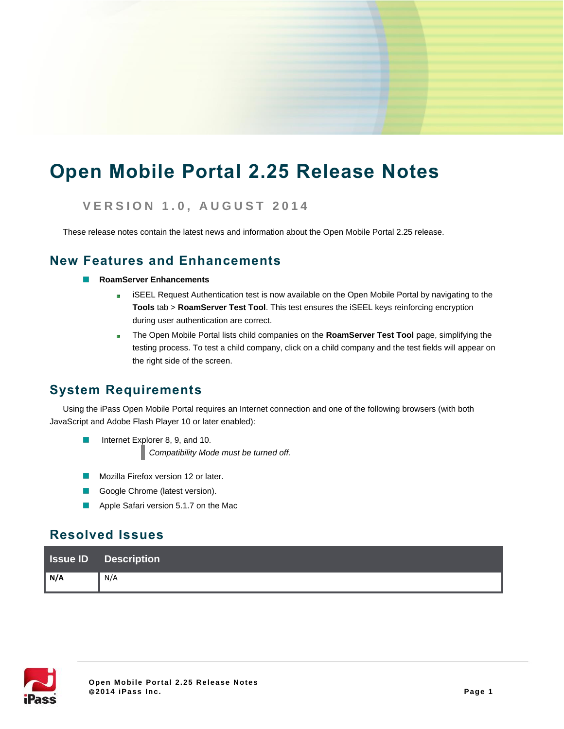# **Open Mobile Portal 2.25 Release Notes**

# **V E R S I O N 1 . 0 , A U G U S T 2 0 1 4**

These release notes contain the latest news and information about the Open Mobile Portal 2.25 release.

### **New Features and Enhancements**

- **RoamServer Enhancements**
	- iSEEL Request Authentication test is now available on the Open Mobile Portal by navigating to the **联 Tools** tab > **RoamServer Test Tool**. This test ensures the iSEEL keys reinforcing encryption during user authentication are correct.
	- **Skilled** The Open Mobile Portal lists child companies on the **RoamServer Test Tool** page, simplifying the testing process. To test a child company, click on a child company and the test fields will appear on the right side of the screen.

# **System Requirements**

Using the iPass Open Mobile Portal requires an Internet connection and one of the following browsers (with both JavaScript and Adobe Flash Player 10 or later enabled):

- Internet Explorer 8, 9, and 10. *Compatibility Mode must be turned off.*
- Mozilla Firefox version 12 or later.  $\Box$
- Google Chrome (latest version).  $\sim$
- Apple Safari version 5.1.7 on the Mac  $\Box$

# **Resolved Issues**

|     | <b>ISSUE ID</b> Description |
|-----|-----------------------------|
| N/A | N/A                         |

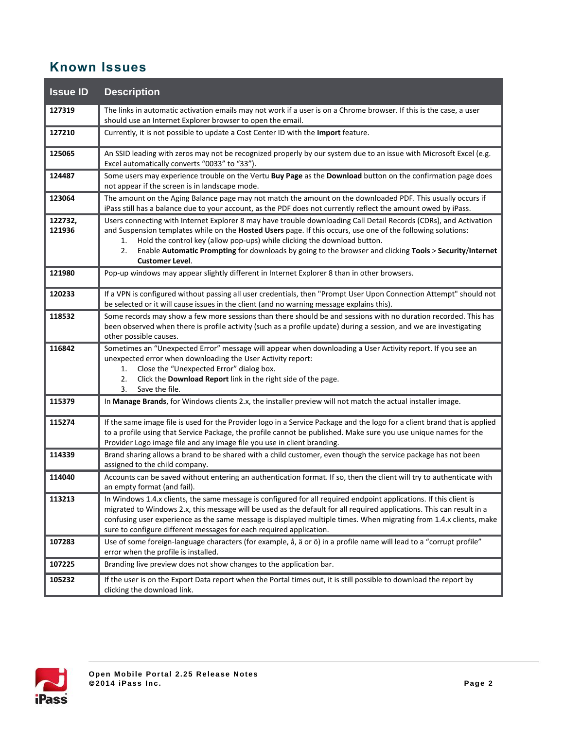# **Known Issues**

| <b>Issue ID</b>   | <b>Description</b>                                                                                                                                                                                                                                                                                                                                                                                                                                             |
|-------------------|----------------------------------------------------------------------------------------------------------------------------------------------------------------------------------------------------------------------------------------------------------------------------------------------------------------------------------------------------------------------------------------------------------------------------------------------------------------|
| 127319            | The links in automatic activation emails may not work if a user is on a Chrome browser. If this is the case, a user<br>should use an Internet Explorer browser to open the email.                                                                                                                                                                                                                                                                              |
| 127210            | Currently, it is not possible to update a Cost Center ID with the Import feature.                                                                                                                                                                                                                                                                                                                                                                              |
| 125065            | An SSID leading with zeros may not be recognized properly by our system due to an issue with Microsoft Excel (e.g.<br>Excel automatically converts "0033" to "33").                                                                                                                                                                                                                                                                                            |
| 124487            | Some users may experience trouble on the Vertu Buy Page as the Download button on the confirmation page does<br>not appear if the screen is in landscape mode.                                                                                                                                                                                                                                                                                                 |
| 123064            | The amount on the Aging Balance page may not match the amount on the downloaded PDF. This usually occurs if<br>iPass still has a balance due to your account, as the PDF does not currently reflect the amount owed by iPass.                                                                                                                                                                                                                                  |
| 122732,<br>121936 | Users connecting with Internet Explorer 8 may have trouble downloading Call Detail Records (CDRs), and Activation<br>and Suspension templates while on the Hosted Users page. If this occurs, use one of the following solutions:<br>Hold the control key (allow pop-ups) while clicking the download button.<br>1.<br>Enable Automatic Prompting for downloads by going to the browser and clicking Tools > Security/Internet<br>2.<br><b>Customer Level.</b> |
| 121980            | Pop-up windows may appear slightly different in Internet Explorer 8 than in other browsers.                                                                                                                                                                                                                                                                                                                                                                    |
| 120233            | If a VPN is configured without passing all user credentials, then "Prompt User Upon Connection Attempt" should not<br>be selected or it will cause issues in the client (and no warning message explains this).                                                                                                                                                                                                                                                |
| 118532            | Some records may show a few more sessions than there should be and sessions with no duration recorded. This has<br>been observed when there is profile activity (such as a profile update) during a session, and we are investigating<br>other possible causes.                                                                                                                                                                                                |
| 116842            | Sometimes an "Unexpected Error" message will appear when downloading a User Activity report. If you see an<br>unexpected error when downloading the User Activity report:<br>Close the "Unexpected Error" dialog box.<br>1.<br>Click the Download Report link in the right side of the page.<br>2.<br>3.<br>Save the file.                                                                                                                                     |
| 115379            | In Manage Brands, for Windows clients 2.x, the installer preview will not match the actual installer image.                                                                                                                                                                                                                                                                                                                                                    |
| 115274            | If the same image file is used for the Provider logo in a Service Package and the logo for a client brand that is applied<br>to a profile using that Service Package, the profile cannot be published. Make sure you use unique names for the<br>Provider Logo image file and any image file you use in client branding.                                                                                                                                       |
| 114339            | Brand sharing allows a brand to be shared with a child customer, even though the service package has not been<br>assigned to the child company.                                                                                                                                                                                                                                                                                                                |
| 114040            | Accounts can be saved without entering an authentication format. If so, then the client will try to authenticate with<br>an empty format (and fail).                                                                                                                                                                                                                                                                                                           |
| 113213            | In Windows 1.4.x clients, the same message is configured for all required endpoint applications. If this client is<br>migrated to Windows 2.x, this message will be used as the default for all required applications. This can result in a<br>confusing user experience as the same message is displayed multiple times. When migrating from 1.4.x clients, make<br>sure to configure different messages for each required application.                       |
| 107283            | Use of some foreign-language characters (for example, å, ä or ö) in a profile name will lead to a "corrupt profile"<br>error when the profile is installed.                                                                                                                                                                                                                                                                                                    |
| 107225            | Branding live preview does not show changes to the application bar.                                                                                                                                                                                                                                                                                                                                                                                            |
| 105232            | If the user is on the Export Data report when the Portal times out, it is still possible to download the report by<br>clicking the download link.                                                                                                                                                                                                                                                                                                              |

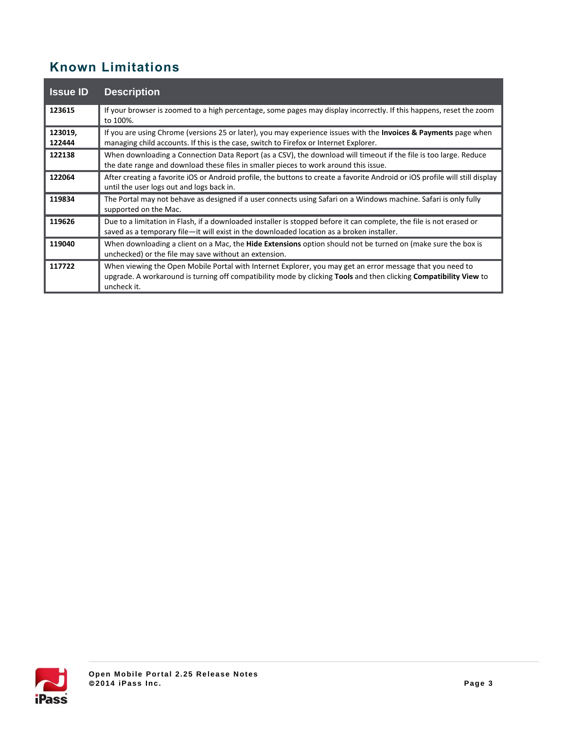# **Known Limitations**

| <b>Issue ID</b>   | <b>Description</b>                                                                                                                                                                                                                            |
|-------------------|-----------------------------------------------------------------------------------------------------------------------------------------------------------------------------------------------------------------------------------------------|
| 123615            | If your browser is zoomed to a high percentage, some pages may display incorrectly. If this happens, reset the zoom<br>to 100%.                                                                                                               |
| 123019,<br>122444 | If you are using Chrome (versions 25 or later), you may experience issues with the <b>Invoices &amp; Payments</b> page when<br>managing child accounts. If this is the case, switch to Firefox or Internet Explorer.                          |
| 122138            | When downloading a Connection Data Report (as a CSV), the download will timeout if the file is too large. Reduce<br>the date range and download these files in smaller pieces to work around this issue.                                      |
| 122064            | After creating a favorite iOS or Android profile, the buttons to create a favorite Android or iOS profile will still display<br>until the user logs out and logs back in.                                                                     |
| 119834            | The Portal may not behave as designed if a user connects using Safari on a Windows machine. Safari is only fully<br>supported on the Mac.                                                                                                     |
| 119626            | Due to a limitation in Flash, if a downloaded installer is stopped before it can complete, the file is not erased or<br>saved as a temporary file-it will exist in the downloaded location as a broken installer.                             |
| 119040            | When downloading a client on a Mac, the Hide Extensions option should not be turned on (make sure the box is<br>unchecked) or the file may save without an extension.                                                                         |
| 117722            | When viewing the Open Mobile Portal with Internet Explorer, you may get an error message that you need to<br>upgrade. A workaround is turning off compatibility mode by clicking Tools and then clicking Compatibility View to<br>uncheck it. |